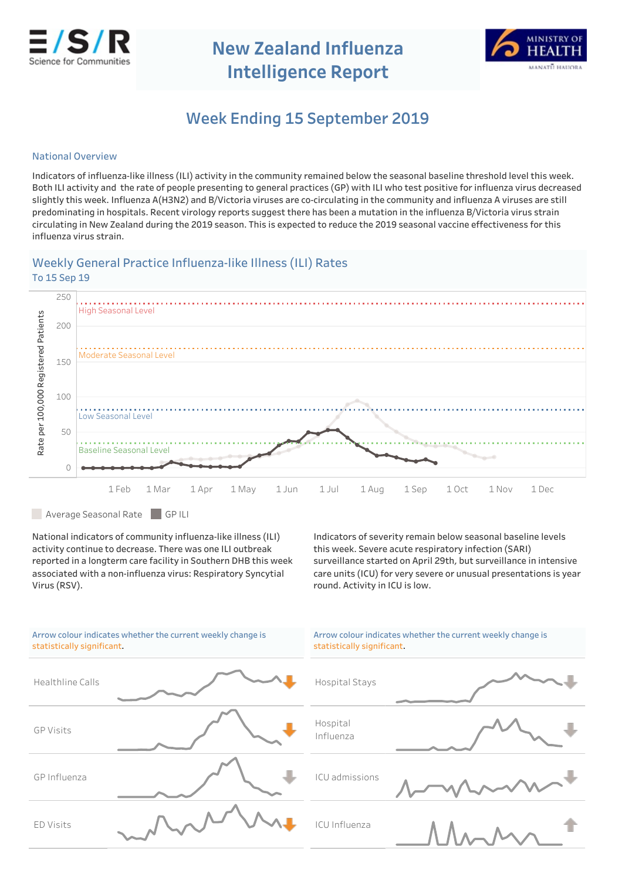

**NewZealandInfluenza Intelligence Report** 



# Week Ending 15 September 2019

## **National Overview**

Indicators of influenza-like illness (ILI) activity in the community remained below the seasonal baseline threshold level this week. Both ILI activity and the rate of people presenting to general practices (GP) with ILI who test positive for influenza virus decreased slightly this week. Influenza A(H3N2) and B/Victoria viruses are co-circulating in the community and influenza A viruses are still predominating in hospitals. Recent virology reports suggest there has been a mutation in the influenza B/Victoria virus strain circulating in New Zealand during the 2019 season. This is expected to reduce the 2019 seasonal vaccine effectiveness for this influenza virus strain.

# Weekly General Practice Influenza-like Illness (ILI) Rates To 15 Sep 19



Average Seasonal Rate GPILI

National indicators of community influenza-like illness (ILI) activity continue to decrease. There was one ILI outbreak reported in a longterm care facility in Southern DHB this week associated with a non-influenza virus: Respiratory Syncytial Virus(RSV).

Indicators of severity remain below seasonal baseline levels this week. Severe acute respiratory infection (SARI) surveillance started on April 29th, but surveillance in intensive care units (ICU) for very severe or unusual presentations is year round. Activity in ICU is low.

| Arrow colour indicates whether the current weekly change is<br>statistically significant. | Arrow colour indicates whether the current weekly change is<br>statistically significant. |
|-------------------------------------------------------------------------------------------|-------------------------------------------------------------------------------------------|
| Healthline Calls                                                                          | Hospital Stays                                                                            |
| <b>GP Visits</b>                                                                          | Hospital<br>Influenza                                                                     |
| GP Influenza                                                                              | ICU admissions                                                                            |
| ED Visits                                                                                 | ICU Influenza                                                                             |